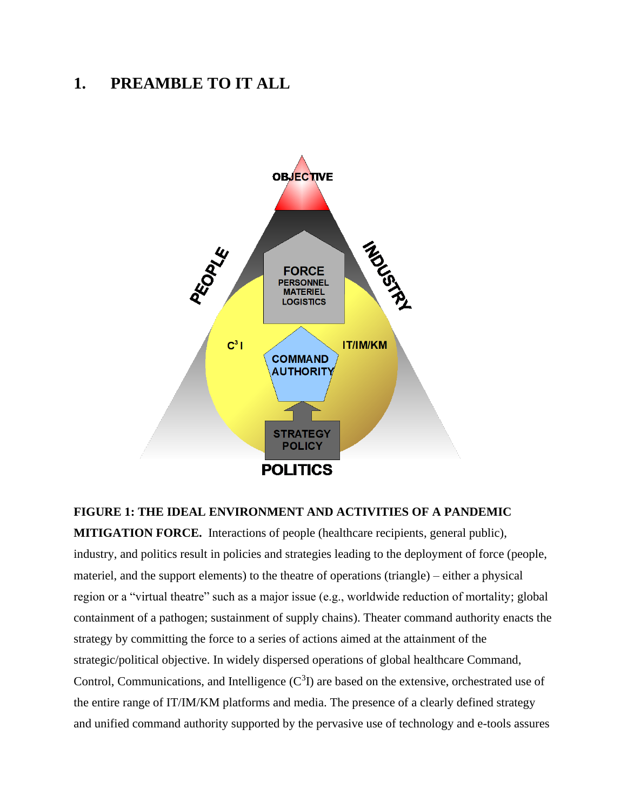# **1. PREAMBLE TO IT ALL**



### **FIGURE 1: THE IDEAL ENVIRONMENT AND ACTIVITIES OF A PANDEMIC**

**MITIGATION FORCE.** Interactions of people (healthcare recipients, general public), industry, and politics result in policies and strategies leading to the deployment of force (people, materiel, and the support elements) to the theatre of operations (triangle) – either a physical region or a "virtual theatre" such as a major issue (e.g., worldwide reduction of mortality; global containment of a pathogen; sustainment of supply chains). Theater command authority enacts the strategy by committing the force to a series of actions aimed at the attainment of the strategic/political objective. In widely dispersed operations of global healthcare Command, Control, Communications, and Intelligence  $(C<sup>3</sup>I)$  are based on the extensive, orchestrated use of the entire range of IT/IM/KM platforms and media. The presence of a clearly defined strategy and unified command authority supported by the pervasive use of technology and e-tools assures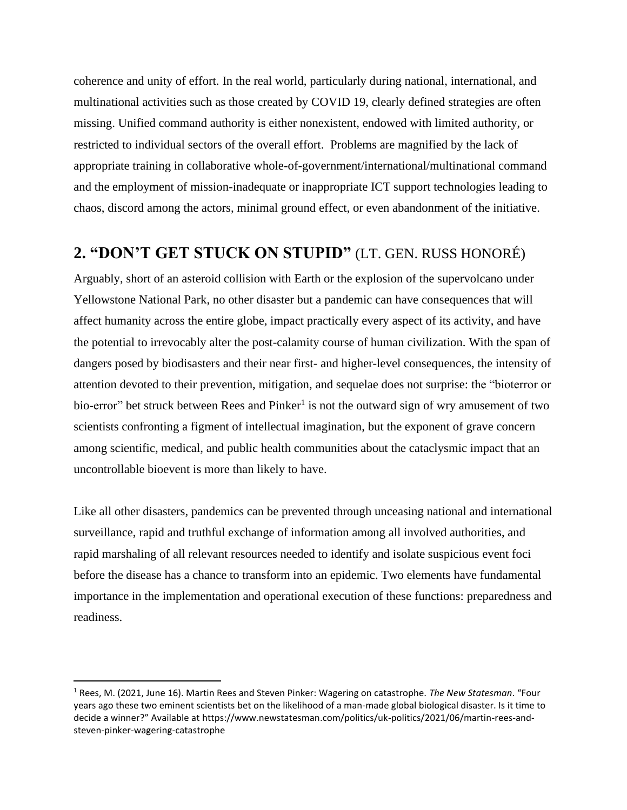coherence and unity of effort. In the real world, particularly during national, international, and multinational activities such as those created by COVID 19, clearly defined strategies are often missing. Unified command authority is either nonexistent, endowed with limited authority, or restricted to individual sectors of the overall effort. Problems are magnified by the lack of appropriate training in collaborative whole-of-government/international/multinational command and the employment of mission-inadequate or inappropriate ICT support technologies leading to chaos, discord among the actors, minimal ground effect, or even abandonment of the initiative.

## **2. "DON'T GET STUCK ON STUPID"** (LT. GEN. RUSS HONORÉ)

Arguably, short of an asteroid collision with Earth or the explosion of the supervolcano under Yellowstone National Park, no other disaster but a pandemic can have consequences that will affect humanity across the entire globe, impact practically every aspect of its activity, and have the potential to irrevocably alter the post-calamity course of human civilization. With the span of dangers posed by biodisasters and their near first- and higher-level consequences, the intensity of attention devoted to their prevention, mitigation, and sequelae does not surprise: the "bioterror or bio-error" bet struck between Rees and Pinker<sup>1</sup> is not the outward sign of wry amusement of two scientists confronting a figment of intellectual imagination, but the exponent of grave concern among scientific, medical, and public health communities about the cataclysmic impact that an uncontrollable bioevent is more than likely to have.

Like all other disasters, pandemics can be prevented through unceasing national and international surveillance, rapid and truthful exchange of information among all involved authorities, and rapid marshaling of all relevant resources needed to identify and isolate suspicious event foci before the disease has a chance to transform into an epidemic. Two elements have fundamental importance in the implementation and operational execution of these functions: preparedness and readiness.

<sup>1</sup> Rees, M. (2021, June 16). Martin Rees and Steven Pinker: Wagering on catastrophe. *The New Statesman*. "Four years ago these two eminent scientists bet on the likelihood of a man-made global biological disaster. Is it time to decide a winner?" Available at https://www.newstatesman.com/politics/uk-politics/2021/06/martin-rees-andsteven-pinker-wagering-catastrophe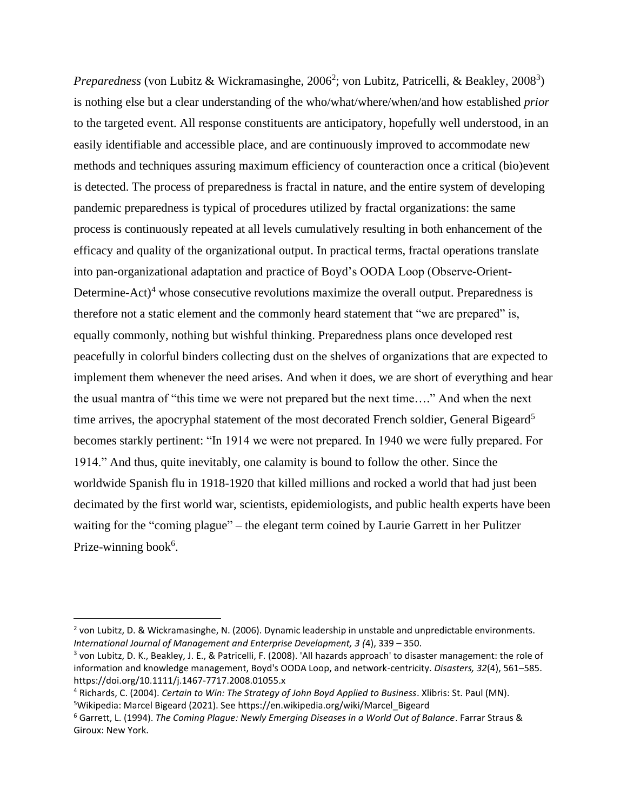Preparedness (von Lubitz & Wickramasinghe, 2006<sup>2</sup>; von Lubitz, Patricelli, & Beakley, 2008<sup>3</sup>) is nothing else but a clear understanding of the who/what/where/when/and how established *prior*  to the targeted event. All response constituents are anticipatory, hopefully well understood, in an easily identifiable and accessible place, and are continuously improved to accommodate new methods and techniques assuring maximum efficiency of counteraction once a critical (bio)event is detected. The process of preparedness is fractal in nature, and the entire system of developing pandemic preparedness is typical of procedures utilized by fractal organizations: the same process is continuously repeated at all levels cumulatively resulting in both enhancement of the efficacy and quality of the organizational output. In practical terms, fractal operations translate into pan-organizational adaptation and practice of Boyd's OODA Loop (Observe-Orient-Determine-Act)<sup>4</sup> whose consecutive revolutions maximize the overall output. Preparedness is therefore not a static element and the commonly heard statement that "we are prepared" is, equally commonly, nothing but wishful thinking. Preparedness plans once developed rest peacefully in colorful binders collecting dust on the shelves of organizations that are expected to implement them whenever the need arises. And when it does, we are short of everything and hear the usual mantra of "this time we were not prepared but the next time…." And when the next time arrives, the apocryphal statement of the most decorated French soldier, General Bigeard<sup>5</sup> becomes starkly pertinent: "In 1914 we were not prepared. In 1940 we were fully prepared. For 1914." And thus, quite inevitably, one calamity is bound to follow the other. Since the worldwide Spanish flu in 1918-1920 that killed millions and rocked a world that had just been decimated by the first world war, scientists, epidemiologists, and public health experts have been waiting for the "coming plague" – the elegant term coined by Laurie Garrett in her Pulitzer Prize-winning book<sup>6</sup>.

<sup>&</sup>lt;sup>2</sup> von Lubitz, D. & Wickramasinghe, N. (2006). Dynamic leadership in unstable and unpredictable environments. *International Journal of Management and Enterprise Development, 3 (*4), 339 – 350.

<sup>&</sup>lt;sup>3</sup> von Lubitz, D. K., Beakley, J. E., & Patricelli, F. (2008). 'All hazards approach' to disaster management: the role of information and knowledge management, Boyd's OODA Loop, and network-centricity. *Disasters, 32*(4), 561–585. https://doi.org/10.1111/j.1467-7717.2008.01055.x

<sup>4</sup> Richards, C. (2004). *Certain to Win: The Strategy of John Boyd Applied to Business*. Xlibris: St. Paul (MN). <sup>5</sup>Wikipedia: Marcel Bigeard (2021). See https://en.wikipedia.org/wiki/Marcel\_Bigeard

<sup>6</sup> Garrett, L. (1994). *The Coming Plague: Newly Emerging Diseases in a World Out of Balance*. Farrar Straus & Giroux: New York.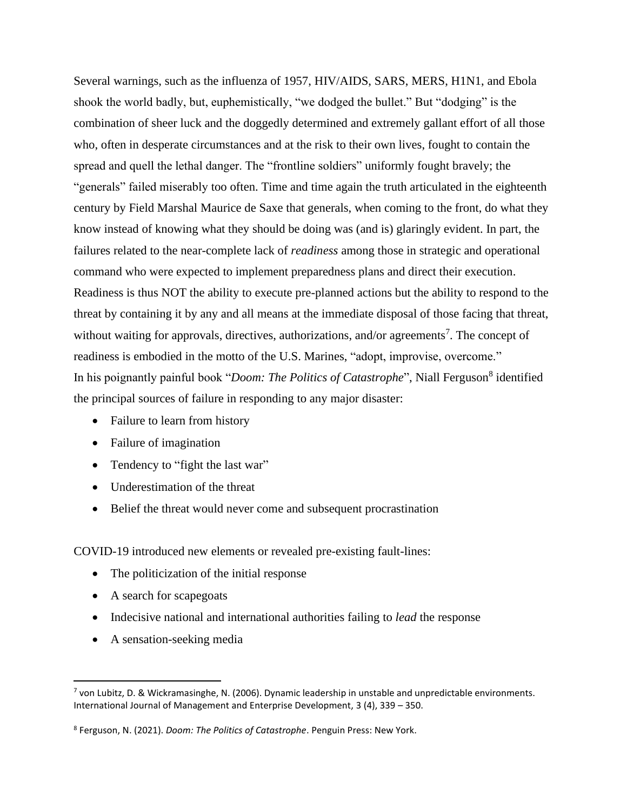Several warnings, such as the influenza of 1957, HIV/AIDS, SARS, MERS, H1N1, and Ebola shook the world badly, but, euphemistically, "we dodged the bullet." But "dodging" is the combination of sheer luck and the doggedly determined and extremely gallant effort of all those who, often in desperate circumstances and at the risk to their own lives, fought to contain the spread and quell the lethal danger. The "frontline soldiers" uniformly fought bravely; the "generals" failed miserably too often. Time and time again the truth articulated in the eighteenth century by Field Marshal Maurice de Saxe that generals, when coming to the front, do what they know instead of knowing what they should be doing was (and is) glaringly evident. In part, the failures related to the near-complete lack of *readiness* among those in strategic and operational command who were expected to implement preparedness plans and direct their execution. Readiness is thus NOT the ability to execute pre-planned actions but the ability to respond to the threat by containing it by any and all means at the immediate disposal of those facing that threat, without waiting for approvals, directives, authorizations, and/or agreements<sup>7</sup>. The concept of readiness is embodied in the motto of the U.S. Marines, "adopt, improvise, overcome." In his poignantly painful book "*Doom: The Politics of Catastrophe*", Niall Ferguson<sup>8</sup> identified the principal sources of failure in responding to any major disaster:

- Failure to learn from history
- Failure of imagination
- Tendency to "fight the last war"
- Underestimation of the threat
- Belief the threat would never come and subsequent procrastination

COVID-19 introduced new elements or revealed pre-existing fault-lines:

- The politicization of the initial response
- A search for scapegoats
- Indecisive national and international authorities failing to *lead* the response
- A sensation-seeking media

<sup>&</sup>lt;sup>7</sup> von Lubitz, D. & Wickramasinghe, N. (2006). Dynamic leadership in unstable and unpredictable environments. International Journal of Management and Enterprise Development, 3 (4), 339 – 350.

<sup>8</sup> Ferguson, N. (2021). *Doom: The Politics of Catastrophe*. Penguin Press: New York.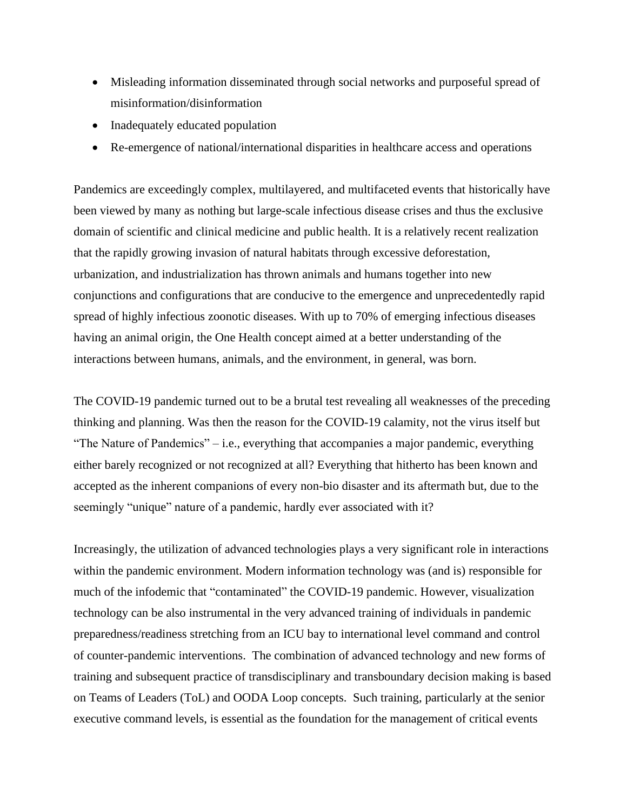- Misleading information disseminated through social networks and purposeful spread of misinformation/disinformation
- Inadequately educated population
- Re-emergence of national/international disparities in healthcare access and operations

Pandemics are exceedingly complex, multilayered, and multifaceted events that historically have been viewed by many as nothing but large-scale infectious disease crises and thus the exclusive domain of scientific and clinical medicine and public health. It is a relatively recent realization that the rapidly growing invasion of natural habitats through excessive deforestation, urbanization, and industrialization has thrown animals and humans together into new conjunctions and configurations that are conducive to the emergence and unprecedentedly rapid spread of highly infectious zoonotic diseases. With up to 70% of emerging infectious diseases having an animal origin, the One Health concept aimed at a better understanding of the interactions between humans, animals, and the environment, in general, was born.

The COVID-19 pandemic turned out to be a brutal test revealing all weaknesses of the preceding thinking and planning. Was then the reason for the COVID-19 calamity, not the virus itself but "The Nature of Pandemics" – i.e., everything that accompanies a major pandemic, everything either barely recognized or not recognized at all? Everything that hitherto has been known and accepted as the inherent companions of every non-bio disaster and its aftermath but, due to the seemingly "unique" nature of a pandemic, hardly ever associated with it?

Increasingly, the utilization of advanced technologies plays a very significant role in interactions within the pandemic environment. Modern information technology was (and is) responsible for much of the infodemic that "contaminated" the COVID-19 pandemic. However, visualization technology can be also instrumental in the very advanced training of individuals in pandemic preparedness/readiness stretching from an ICU bay to international level command and control of counter-pandemic interventions. The combination of advanced technology and new forms of training and subsequent practice of transdisciplinary and transboundary decision making is based on Teams of Leaders (ToL) and OODA Loop concepts. Such training, particularly at the senior executive command levels, is essential as the foundation for the management of critical events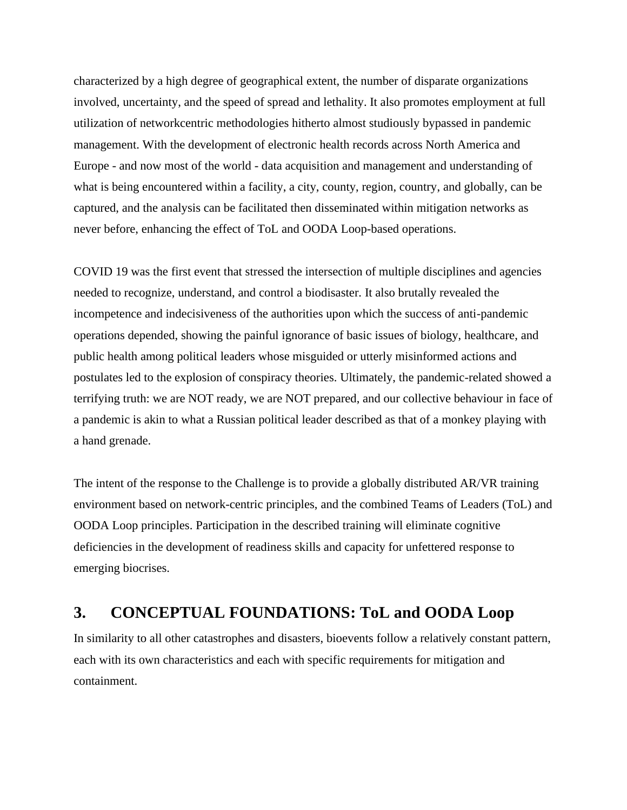characterized by a high degree of geographical extent, the number of disparate organizations involved, uncertainty, and the speed of spread and lethality. It also promotes employment at full utilization of networkcentric methodologies hitherto almost studiously bypassed in pandemic management. With the development of electronic health records across North America and Europe - and now most of the world - data acquisition and management and understanding of what is being encountered within a facility, a city, county, region, country, and globally, can be captured, and the analysis can be facilitated then disseminated within mitigation networks as never before, enhancing the effect of ToL and OODA Loop-based operations.

COVID 19 was the first event that stressed the intersection of multiple disciplines and agencies needed to recognize, understand, and control a biodisaster. It also brutally revealed the incompetence and indecisiveness of the authorities upon which the success of anti-pandemic operations depended, showing the painful ignorance of basic issues of biology, healthcare, and public health among political leaders whose misguided or utterly misinformed actions and postulates led to the explosion of conspiracy theories. Ultimately, the pandemic-related showed a terrifying truth: we are NOT ready, we are NOT prepared, and our collective behaviour in face of a pandemic is akin to what a Russian political leader described as that of a monkey playing with a hand grenade.

The intent of the response to the Challenge is to provide a globally distributed AR/VR training environment based on network-centric principles, and the combined Teams of Leaders (ToL) and OODA Loop principles. Participation in the described training will eliminate cognitive deficiencies in the development of readiness skills and capacity for unfettered response to emerging biocrises.

## **3. CONCEPTUAL FOUNDATIONS: ToL and OODA Loop**

In similarity to all other catastrophes and disasters, bioevents follow a relatively constant pattern, each with its own characteristics and each with specific requirements for mitigation and containment.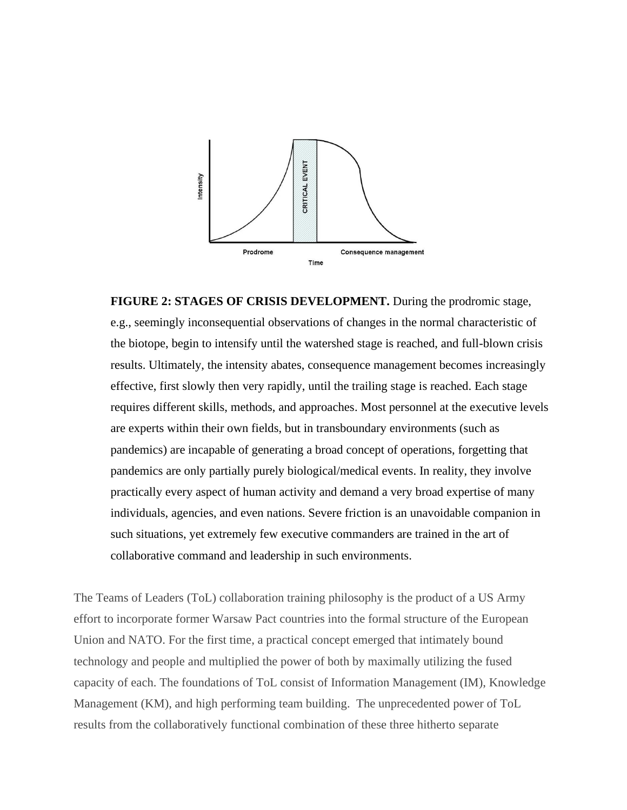

**FIGURE 2: STAGES OF CRISIS DEVELOPMENT.** During the prodromic stage, e.g., seemingly inconsequential observations of changes in the normal characteristic of the biotope, begin to intensify until the watershed stage is reached, and full-blown crisis results. Ultimately, the intensity abates, consequence management becomes increasingly effective, first slowly then very rapidly, until the trailing stage is reached. Each stage requires different skills, methods, and approaches. Most personnel at the executive levels are experts within their own fields, but in transboundary environments (such as pandemics) are incapable of generating a broad concept of operations, forgetting that pandemics are only partially purely biological/medical events. In reality, they involve practically every aspect of human activity and demand a very broad expertise of many individuals, agencies, and even nations. Severe friction is an unavoidable companion in such situations, yet extremely few executive commanders are trained in the art of collaborative command and leadership in such environments.

The Teams of Leaders (ToL) collaboration training philosophy is the product of a US Army effort to incorporate former Warsaw Pact countries into the formal structure of the European Union and NATO. For the first time, a practical concept emerged that intimately bound technology and people and multiplied the power of both by maximally utilizing the fused capacity of each. The foundations of ToL consist of Information Management (IM), Knowledge Management (KM), and high performing team building. The unprecedented power of ToL results from the collaboratively functional combination of these three hitherto separate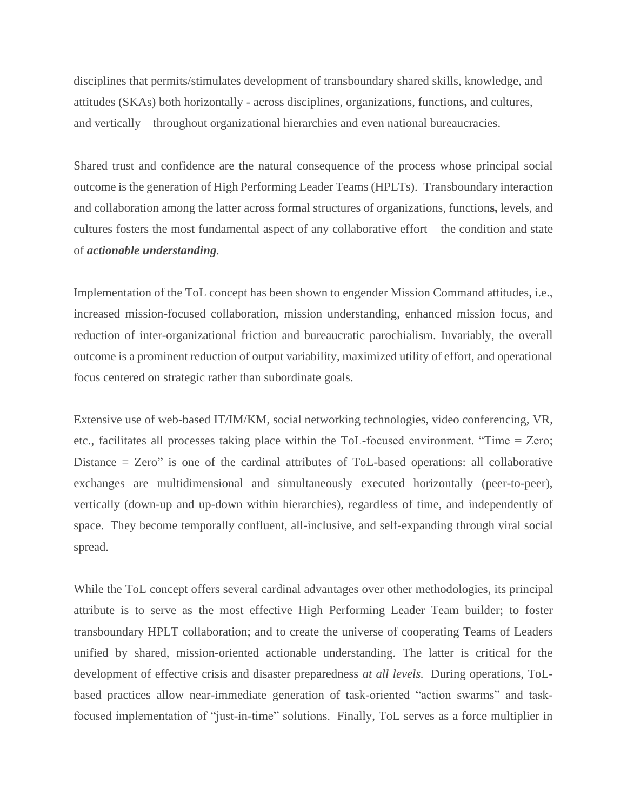disciplines that permits/stimulates development of transboundary shared skills, knowledge, and attitudes (SKAs) both horizontally - across disciplines, organizations, functions**,** and cultures, and vertically – throughout organizational hierarchies and even national bureaucracies.

Shared trust and confidence are the natural consequence of the process whose principal social outcome is the generation of High Performing Leader Teams (HPLTs). Transboundary interaction and collaboration among the latter across formal structures of organizations, function**s,** levels, and cultures fosters the most fundamental aspect of any collaborative effort – the condition and state of *actionable understanding.*

Implementation of the ToL concept has been shown to engender Mission Command attitudes, i.e., increased mission-focused collaboration, mission understanding, enhanced mission focus, and reduction of inter-organizational friction and bureaucratic parochialism. Invariably, the overall outcome is a prominent reduction of output variability, maximized utility of effort, and operational focus centered on strategic rather than subordinate goals.

Extensive use of web-based IT/IM/KM, social networking technologies, video conferencing, VR, etc., facilitates all processes taking place within the ToL-focused environment. "Time = Zero; Distance = Zero" is one of the cardinal attributes of ToL-based operations: all collaborative exchanges are multidimensional and simultaneously executed horizontally (peer-to-peer), vertically (down-up and up-down within hierarchies), regardless of time, and independently of space. They become temporally confluent, all-inclusive, and self-expanding through viral social spread.

While the ToL concept offers several cardinal advantages over other methodologies, its principal attribute is to serve as the most effective High Performing Leader Team builder; to foster transboundary HPLT collaboration; and to create the universe of cooperating Teams of Leaders unified by shared, mission-oriented actionable understanding. The latter is critical for the development of effective crisis and disaster preparedness *at all levels.* During operations, ToLbased practices allow near-immediate generation of task-oriented "action swarms" and taskfocused implementation of "just-in-time" solutions. Finally, ToL serves as a force multiplier in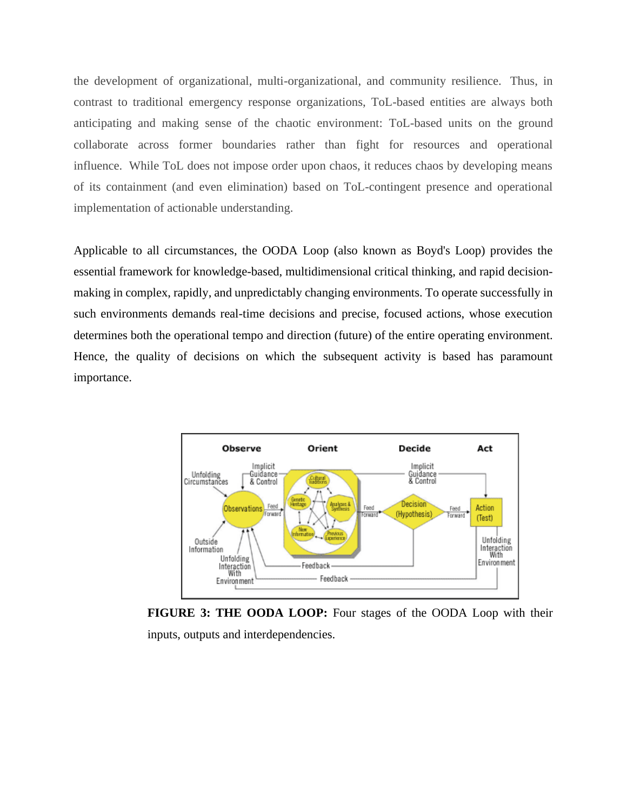the development of organizational, multi-organizational, and community resilience. Thus, in contrast to traditional emergency response organizations, ToL-based entities are always both anticipating and making sense of the chaotic environment: ToL-based units on the ground collaborate across former boundaries rather than fight for resources and operational influence. While ToL does not impose order upon chaos, it reduces chaos by developing means of its containment (and even elimination) based on ToL-contingent presence and operational implementation of actionable understanding.

Applicable to all circumstances, the OODA Loop (also known as Boyd's Loop) provides the essential framework for knowledge-based, multidimensional critical thinking, and rapid decisionmaking in complex, rapidly, and unpredictably changing environments. To operate successfully in such environments demands real-time decisions and precise, focused actions, whose execution determines both the operational tempo and direction (future) of the entire operating environment. Hence, the quality of decisions on which the subsequent activity is based has paramount importance.



**FIGURE 3: THE OODA LOOP:** Four stages of the OODA Loop with their inputs, outputs and interdependencies.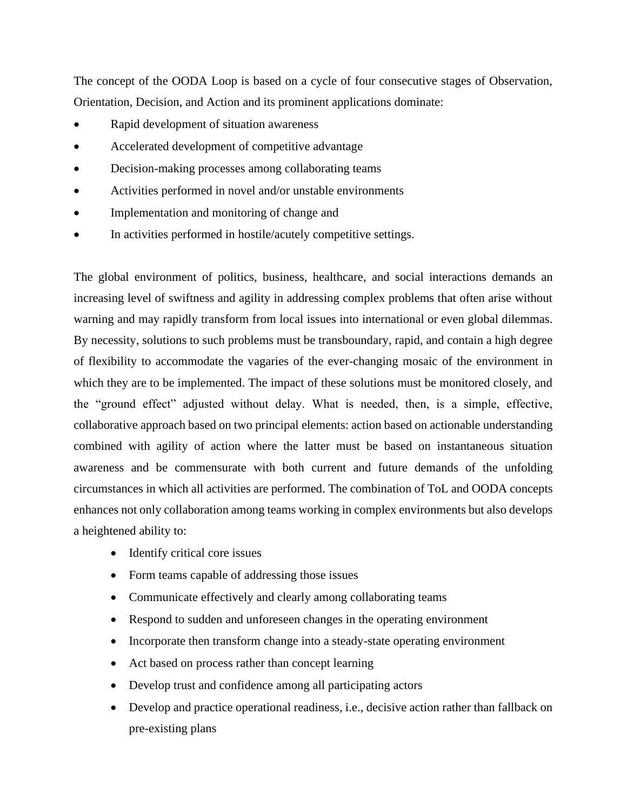The concept of the OODA Loop is based on a cycle of four consecutive stages of Observation, Orientation, Decision, and Action and its prominent applications dominate:

- Rapid development of situation awareness
- Accelerated development of competitive advantage
- Decision-making processes among collaborating teams
- Activities performed in novel and/or unstable environments
- Implementation and monitoring of change and
- In activities performed in hostile/acutely competitive settings.

The global environment of politics, business, healthcare, and social interactions demands an increasing level of swiftness and agility in addressing complex problems that often arise without warning and may rapidly transform from local issues into international or even global dilemmas. By necessity, solutions to such problems must be transboundary, rapid, and contain a high degree of flexibility to accommodate the vagaries of the ever-changing mosaic of the environment in which they are to be implemented. The impact of these solutions must be monitored closely, and the "ground effect" adjusted without delay. What is needed, then, is a simple, effective, collaborative approach based on two principal elements: action based on actionable understanding combined with agility of action where the latter must be based on instantaneous situation awareness and be commensurate with both current and future demands of the unfolding circumstances in which all activities are performed. The combination of ToL and OODA concepts enhances not only collaboration among teams working in complex environments but also develops a heightened ability to:

- Identify critical core issues
- Form teams capable of addressing those issues
- Communicate effectively and clearly among collaborating teams
- Respond to sudden and unforeseen changes in the operating environment
- Incorporate then transform change into a steady-state operating environment
- Act based on process rather than concept learning
- Develop trust and confidence among all participating actors
- Develop and practice operational readiness, i.e., decisive action rather than fallback on pre-existing plans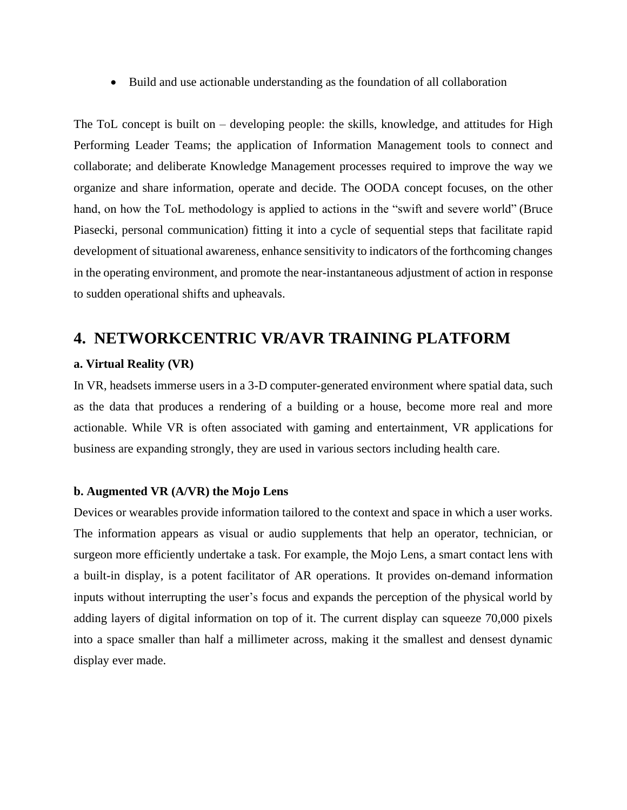• Build and use actionable understanding as the foundation of all collaboration

The ToL concept is built on – developing people: the skills, knowledge, and attitudes for High Performing Leader Teams; the application of Information Management tools to connect and collaborate; and deliberate Knowledge Management processes required to improve the way we organize and share information, operate and decide. The OODA concept focuses, on the other hand, on how the ToL methodology is applied to actions in the "swift and severe world" (Bruce Piasecki, personal communication) fitting it into a cycle of sequential steps that facilitate rapid development of situational awareness, enhance sensitivity to indicators of the forthcoming changes in the operating environment, and promote the near-instantaneous adjustment of action in response to sudden operational shifts and upheavals.

## **4. NETWORKCENTRIC VR/AVR TRAINING PLATFORM**

#### **a. Virtual Reality (VR)**

In VR, headsets immerse users in a 3-D computer-generated environment where spatial data, such as the data that produces a rendering of a building or a house, become more real and more actionable. While VR is often associated with gaming and entertainment, VR applications for business are expanding strongly, they are used in various sectors including health care.

#### **b. Augmented VR (A/VR) the Mojo Lens**

Devices or wearables provide information tailored to the context and space in which a user works. The information appears as visual or audio supplements that help an operator, technician, or surgeon more efficiently undertake a task. For example, the Mojo Lens, a smart contact lens with a built-in display, is a potent facilitator of AR operations. It provides on-demand information inputs without interrupting the user's focus and expands the perception of the physical world by adding layers of digital information on top of it. The current display can squeeze 70,000 pixels into a space smaller than half a millimeter across, making it the smallest and densest dynamic display ever made.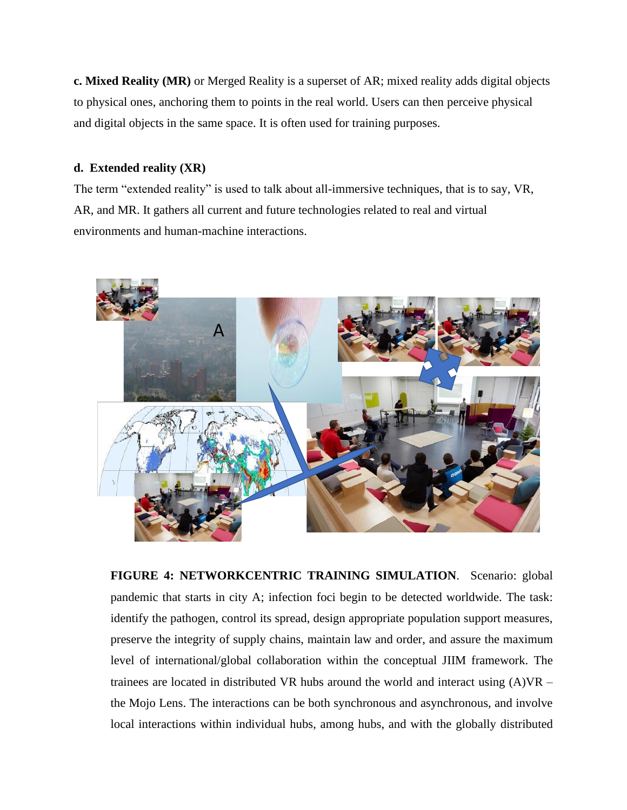**c. Mixed Reality (MR)** or Merged Reality is a superset of AR; mixed reality adds digital objects to physical ones, anchoring them to points in the real world. Users can then perceive physical and digital objects in the same space. It is often used for training purposes.

### **d. Extended reality (XR)**

The term "extended reality" is used to talk about all-immersive techniques, that is to say, VR, AR, and MR. It gathers all current and future technologies related to real and virtual environments and human-machine interactions.



**FIGURE 4: NETWORKCENTRIC TRAINING SIMULATION**. Scenario: global pandemic that starts in city A; infection foci begin to be detected worldwide. The task: identify the pathogen, control its spread, design appropriate population support measures, preserve the integrity of supply chains, maintain law and order, and assure the maximum level of international/global collaboration within the conceptual JIIM framework. The trainees are located in distributed VR hubs around the world and interact using  $(A)VR$ the Mojo Lens. The interactions can be both synchronous and asynchronous, and involve local interactions within individual hubs, among hubs, and with the globally distributed